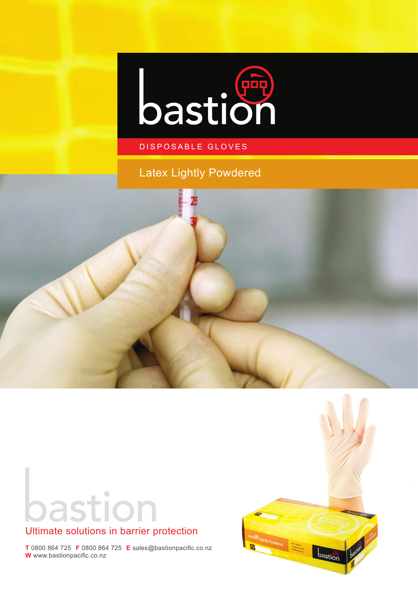

### DISPOSABLE GLOVES

## Latex Lightly Powdered



astion



## Ultimate solutions in barrier protection

**T** 0800 864 725 **F** 0800 864 725 **E** sales@bastionpacific.co.nz **W** www.bastionpacific.co.nz